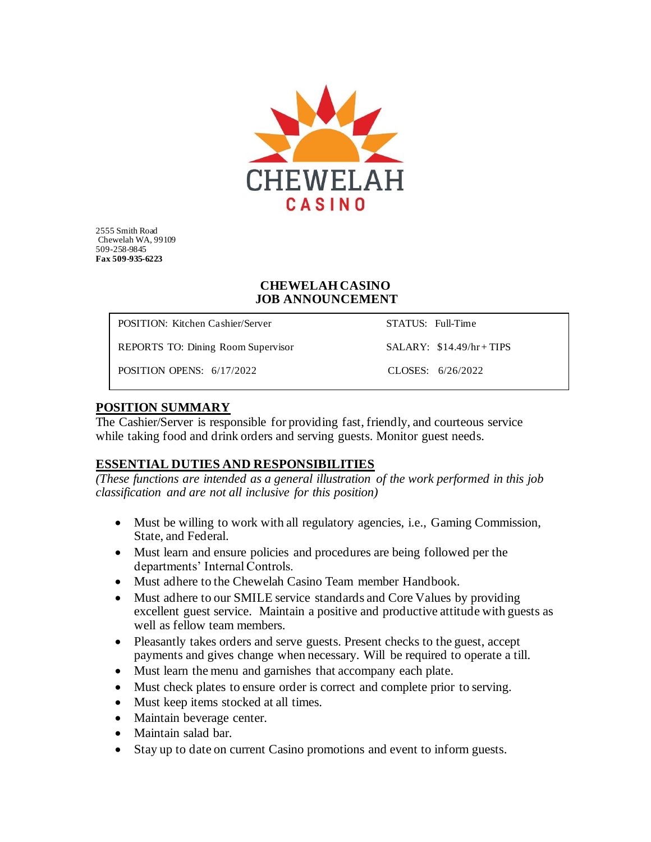

2555 Smith Road Chewelah WA, 99109 509-258-9845 **Fax 509-935-6223**

#### **CHEWELAH CASINO JOB ANNOUNCEMENT**

POSITION: Kitchen Cashier/Server STATUS: Full-Time

REPORTS TO: Dining Room Supervisor SALARY: \$14.49/hr + TIPS

POSITION OPENS: 6/17/2022 CLOSES: 6/26/2022

### **POSITION SUMMARY**

The Cashier/Server is responsible for providing fast, friendly, and courteous service while taking food and drink orders and serving guests. Monitor guest needs.

### **ESSENTIAL DUTIES AND RESPONSIBILITIES**

*(These functions are intended as a general illustration of the work performed in this job classification and are not all inclusive for this position)*

- Must be willing to work with all regulatory agencies, i.e., Gaming Commission, State, and Federal.
- Must learn and ensure policies and procedures are being followed per the departments' Internal Controls.
- Must adhere to the Chewelah Casino Team member Handbook.
- Must adhere to our SMILE service standards and Core Values by providing excellent guest service. Maintain a positive and productive attitude with guests as well as fellow team members.
- Pleasantly takes orders and serve guests. Present checks to the guest, accept payments and gives change when necessary. Will be required to operate a till.
- Must learn the menu and garnishes that accompany each plate.
- Must check plates to ensure order is correct and complete prior to serving.
- Must keep items stocked at all times.
- Maintain beverage center.
- Maintain salad bar.
- Stay up to date on current Casino promotions and event to inform guests.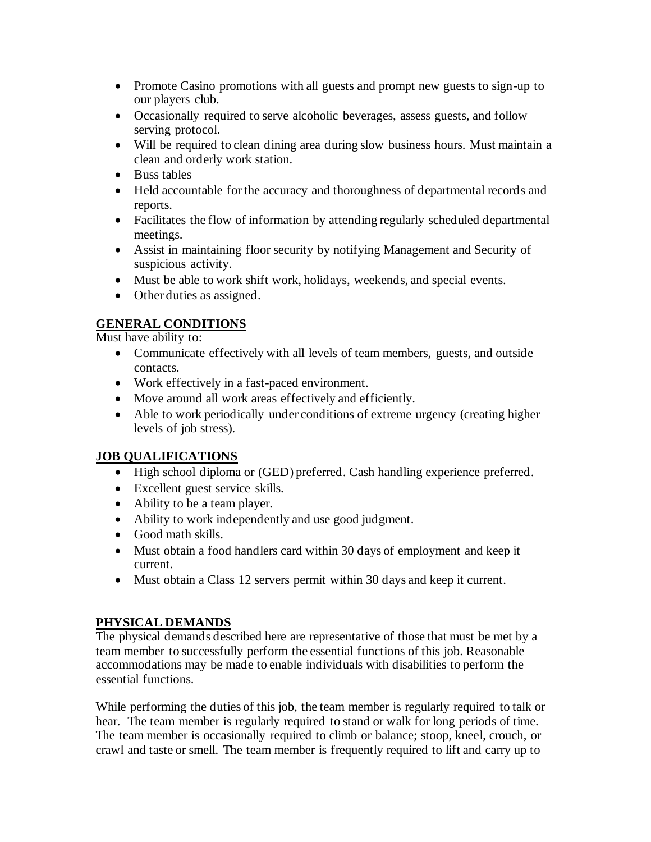- Promote Casino promotions with all guests and prompt new guests to sign-up to our players club.
- Occasionally required to serve alcoholic beverages, assess guests, and follow serving protocol.
- Will be required to clean dining area during slow business hours. Must maintain a clean and orderly work station.
- Buss tables
- Held accountable for the accuracy and thoroughness of departmental records and reports.
- Facilitates the flow of information by attending regularly scheduled departmental meetings.
- Assist in maintaining floor security by notifying Management and Security of suspicious activity.
- Must be able to work shift work, holidays, weekends, and special events.
- Other duties as assigned.

# **GENERAL CONDITIONS**

Must have ability to:

- Communicate effectively with all levels of team members, guests, and outside contacts.
- Work effectively in a fast-paced environment.
- Move around all work areas effectively and efficiently.
- Able to work periodically under conditions of extreme urgency (creating higher levels of job stress).

# **JOB QUALIFICATIONS**

- High school diploma or (GED) preferred. Cash handling experience preferred.
- Excellent guest service skills.
- Ability to be a team player.
- Ability to work independently and use good judgment.
- Good math skills.
- Must obtain a food handlers card within 30 days of employment and keep it current.
- Must obtain a Class 12 servers permit within 30 days and keep it current.

# **PHYSICAL DEMANDS**

The physical demands described here are representative of those that must be met by a team member to successfully perform the essential functions of this job. Reasonable accommodations may be made to enable individuals with disabilities to perform the essential functions.

While performing the duties of this job, the team member is regularly required to talk or hear. The team member is regularly required to stand or walk for long periods of time. The team member is occasionally required to climb or balance; stoop, kneel, crouch, or crawl and taste or smell. The team member is frequently required to lift and carry up to